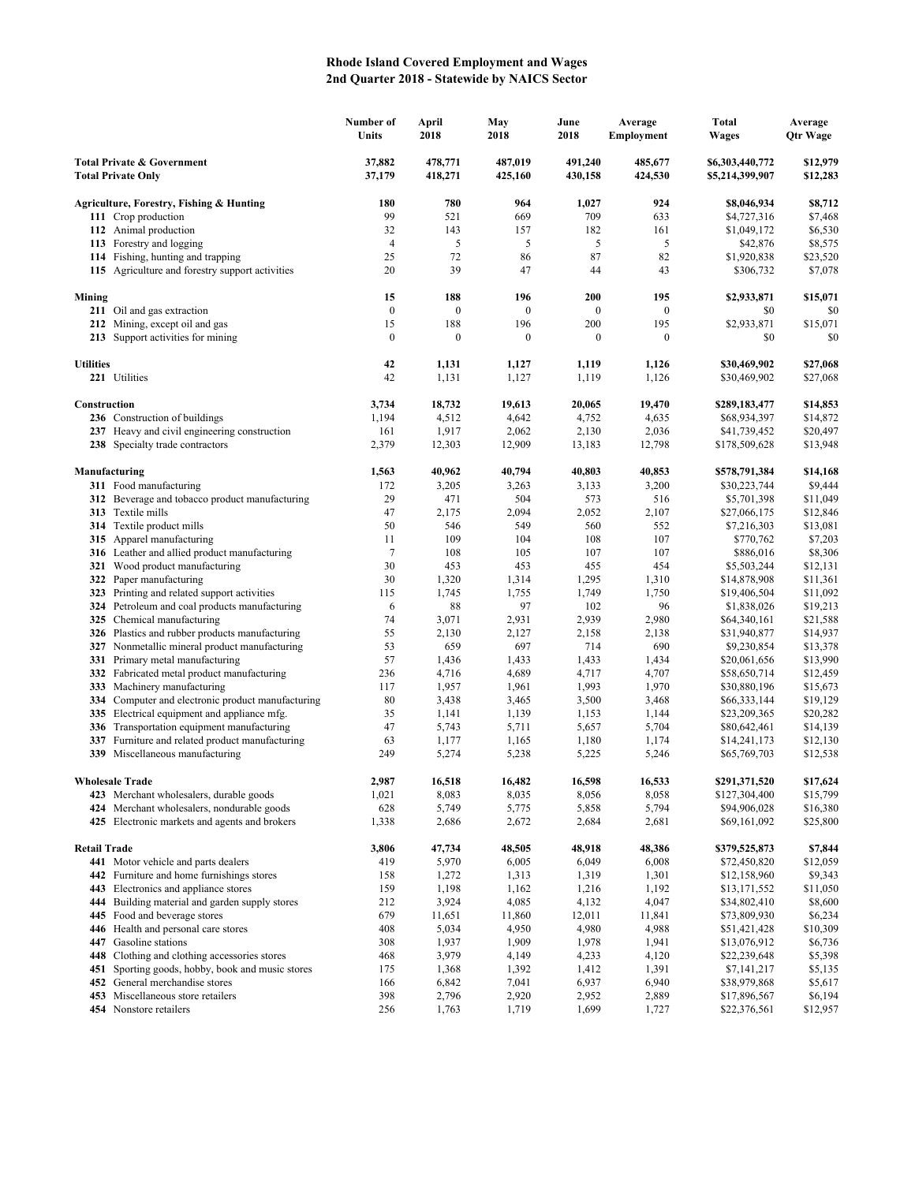## **Rhode Island Covered Employment and Wages 2nd Quarter 2018 - Statewide by NAICS Sector**

|                                                                    |                                                                                             | Number of<br>Units | April<br>2018      | May<br>2018        | June<br>2018       | Average<br>Employment | Total<br><b>Wages</b>              | Average<br><b>Qtr Wage</b> |
|--------------------------------------------------------------------|---------------------------------------------------------------------------------------------|--------------------|--------------------|--------------------|--------------------|-----------------------|------------------------------------|----------------------------|
| <b>Total Private &amp; Government</b><br><b>Total Private Only</b> |                                                                                             | 37,882<br>37,179   | 478,771<br>418,271 | 487,019<br>425,160 | 491,240<br>430,158 | 485,677<br>424,530    | \$6,303,440,772<br>\$5,214,399,907 | \$12,979<br>\$12,283       |
|                                                                    | Agriculture, Forestry, Fishing & Hunting                                                    | 180                | 780                | 964                | 1,027              | 924                   | \$8,046,934                        | \$8,712                    |
|                                                                    | 111 Crop production                                                                         | 99                 | 521                | 669                | 709                | 633                   | \$4,727,316                        | \$7,468                    |
|                                                                    | 112 Animal production                                                                       | 32                 | 143                | 157                | 182                | 161                   | \$1,049,172                        | \$6,530                    |
|                                                                    | 113 Forestry and logging                                                                    | $\overline{4}$     | 5                  | 5                  | 5                  | 5                     | \$42,876                           | \$8,575                    |
|                                                                    | 114 Fishing, hunting and trapping                                                           | 25                 | 72                 | 86                 | 87                 | 82                    | \$1,920,838                        | \$23,520                   |
|                                                                    | 115 Agriculture and forestry support activities                                             | 20                 | 39                 | 47                 | 44                 | 43                    | \$306,732                          | \$7,078                    |
| Mining                                                             |                                                                                             | 15                 | 188                | 196                | 200                | 195                   | \$2,933,871                        | \$15,071                   |
|                                                                    | 211 Oil and gas extraction                                                                  | $\boldsymbol{0}$   | $\boldsymbol{0}$   | $\mathbf{0}$       | $\boldsymbol{0}$   | $\mathbf{0}$          | \$0                                | \$0                        |
|                                                                    | 212 Mining, except oil and gas                                                              | 15                 | 188                | 196                | 200                | 195                   | \$2,933,871                        | \$15,071                   |
|                                                                    | 213 Support activities for mining                                                           | $\boldsymbol{0}$   | $\boldsymbol{0}$   | $\boldsymbol{0}$   | $\boldsymbol{0}$   | $\mathbf{0}$          | \$0                                | \$0                        |
| <b>Utilities</b>                                                   |                                                                                             | 42                 | 1,131              | 1,127              | 1,119              | 1,126                 | \$30,469,902                       | \$27,068                   |
|                                                                    | 221 Utilities                                                                               | 42                 | 1,131              | 1,127              | 1,119              | 1,126                 | \$30,469,902                       | \$27,068                   |
| Construction                                                       |                                                                                             | 3,734              | 18,732             | 19,613             | 20,065             | 19,470                | \$289,183,477                      | \$14,853                   |
|                                                                    | 236 Construction of buildings                                                               | 1,194              | 4,512              | 4,642              | 4,752              | 4,635                 | \$68,934,397                       | \$14,872                   |
|                                                                    | 237 Heavy and civil engineering construction                                                | 161                | 1,917              | 2,062              | 2,130              | 2,036                 | \$41,739,452                       | \$20,497                   |
|                                                                    | 238 Specialty trade contractors                                                             | 2,379              | 12,303             | 12,909             | 13,183             | 12,798                | \$178,509,628                      | \$13,948                   |
| Manufacturing                                                      |                                                                                             | 1,563              | 40,962             | 40,794             | 40,803             | 40,853                | \$578,791,384                      | \$14,168                   |
|                                                                    | 311 Food manufacturing                                                                      | 172                | 3,205              | 3,263              | 3,133              | 3,200                 | \$30,223,744                       | \$9,444                    |
|                                                                    | 312 Beverage and tobacco product manufacturing                                              | 29                 | 471                | 504                | 573                | 516                   | \$5,701,398                        | \$11,049                   |
|                                                                    | 313 Textile mills                                                                           | 47                 | 2,175              | 2,094              | 2,052              | 2,107                 | \$27,066,175                       | \$12,846                   |
|                                                                    | <b>314</b> Textile product mills                                                            | 50                 | 546                | 549                | 560                | 552                   | \$7,216,303                        | \$13,081                   |
|                                                                    | 315 Apparel manufacturing                                                                   | 11                 | 109                | 104                | 108                | 107                   | \$770,762                          | \$7,203                    |
|                                                                    | 316 Leather and allied product manufacturing                                                | $\tau$             | 108                | 105                | 107                | 107                   | \$886,016                          | \$8,306                    |
|                                                                    | 321 Wood product manufacturing                                                              | 30<br>30           | 453<br>1,320       | 453<br>1,314       | 455<br>1,295       | 454                   | \$5,503,244<br>\$14,878,908        | \$12,131                   |
|                                                                    | 322 Paper manufacturing<br>323 Printing and related support activities                      | 115                | 1,745              | 1,755              | 1,749              | 1,310<br>1,750        | \$19,406,504                       | \$11,361<br>\$11,092       |
|                                                                    | 324 Petroleum and coal products manufacturing                                               | 6                  | 88                 | 97                 | 102                | 96                    | \$1,838,026                        | \$19,213                   |
|                                                                    | 325 Chemical manufacturing                                                                  | 74                 | 3,071              | 2,931              | 2,939              | 2,980                 | \$64,340,161                       | \$21,588                   |
|                                                                    | 326 Plastics and rubber products manufacturing                                              | 55                 | 2,130              | 2,127              | 2,158              | 2,138                 | \$31,940,877                       | \$14,937                   |
|                                                                    | 327 Nonmetallic mineral product manufacturing                                               | 53                 | 659                | 697                | 714                | 690                   | \$9,230,854                        | \$13,378                   |
|                                                                    | 331 Primary metal manufacturing                                                             | 57                 | 1,436              | 1,433              | 1,433              | 1,434                 | \$20,061,656                       | \$13,990                   |
|                                                                    | 332 Fabricated metal product manufacturing                                                  | 236                | 4,716              | 4,689              | 4,717              | 4,707                 | \$58,650,714                       | \$12,459                   |
|                                                                    | 333 Machinery manufacturing                                                                 | 117                | 1,957              | 1,961              | 1,993              | 1,970                 | \$30,880,196                       | \$15,673                   |
| 334                                                                | Computer and electronic product manufacturing                                               | 80                 | 3,438              | 3,465              | 3,500              | 3,468                 | \$66,333,144                       | \$19,129                   |
|                                                                    | 335 Electrical equipment and appliance mfg.                                                 | 35                 | 1,141              | 1,139              | 1,153              | 1,144                 | \$23,209,365                       | \$20,282                   |
|                                                                    | 336 Transportation equipment manufacturing                                                  | 47                 | 5,743              | 5,711              | 5,657              | 5,704                 | \$80,642,461                       | \$14,139                   |
| 337                                                                | Furniture and related product manufacturing                                                 | 63                 | 1,177              | 1,165              | 1,180              | 1,174                 | \$14,241,173                       | \$12,130                   |
|                                                                    | 339 Miscellaneous manufacturing                                                             | 249                | 5,274              | 5,238              | 5,225              | 5,246                 | \$65,769,703                       | \$12,538                   |
|                                                                    | <b>Wholesale Trade</b>                                                                      | 2,987              | 16,518             | 16,482             | 16,598             | 16,533                | \$291,371,520                      | \$17,624                   |
|                                                                    | 423 Merchant wholesalers, durable goods                                                     | 1,021              | 8,083              | 8,035              | 8,056              | 8,058                 | \$127,304,400                      | \$15,799                   |
|                                                                    | 424 Merchant wholesalers, nondurable goods<br>425 Electronic markets and agents and brokers | 628<br>1,338       | 5,749<br>2,686     | 5,775<br>2,672     | 5,858<br>2,684     | 5,794<br>2,681        | \$94,906,028<br>\$69,161,092       | \$16,380<br>\$25,800       |
|                                                                    |                                                                                             |                    |                    |                    |                    |                       |                                    |                            |
| <b>Retail Trade</b>                                                | 441 Motor vehicle and parts dealers                                                         | 3,806<br>419       | 47,734<br>5,970    | 48,505<br>6,005    | 48,918<br>6,049    | 48,386<br>6,008       | \$379,525,873<br>\$72,450,820      | \$7,844<br>\$12,059        |
| 442                                                                | Furniture and home furnishings stores                                                       | 158                | 1,272              | 1,313              | 1,319              | 1,301                 | \$12,158,960                       | \$9,343                    |
| 443                                                                | Electronics and appliance stores                                                            | 159                | 1,198              | 1,162              | 1,216              | 1,192                 | \$13,171,552                       | \$11,050                   |
| 444                                                                | Building material and garden supply stores                                                  | 212                | 3,924              | 4,085              | 4,132              | 4,047                 | \$34,802,410                       | \$8,600                    |
|                                                                    | 445 Food and beverage stores                                                                | 679                | 11,651             | 11,860             | 12,011             | 11,841                | \$73,809,930                       | \$6,234                    |
|                                                                    | 446 Health and personal care stores                                                         | 408                | 5,034              | 4,950              | 4,980              | 4,988                 | \$51,421,428                       | \$10,309                   |
|                                                                    | 447 Gasoline stations                                                                       | 308                | 1,937              | 1,909              | 1,978              | 1,941                 | \$13,076,912                       | \$6,736                    |
|                                                                    | 448 Clothing and clothing accessories stores                                                | 468                | 3,979              | 4,149              | 4,233              | 4,120                 | \$22,239,648                       | \$5,398                    |
| 451                                                                | Sporting goods, hobby, book and music stores                                                | 175                | 1,368              | 1,392              | 1,412              | 1,391                 | \$7,141,217                        | \$5,135                    |
| 452                                                                | General merchandise stores                                                                  | 166                | 6,842              | 7,041              | 6,937              | 6,940                 | \$38,979,868                       | \$5,617                    |
|                                                                    | 453 Miscellaneous store retailers                                                           | 398                | 2,796              | 2,920              | 2,952              | 2,889                 | \$17,896,567                       | \$6,194                    |
|                                                                    | 454 Nonstore retailers                                                                      | 256                | 1,763              | 1,719              | 1,699              | 1,727                 | \$22,376,561                       | \$12,957                   |